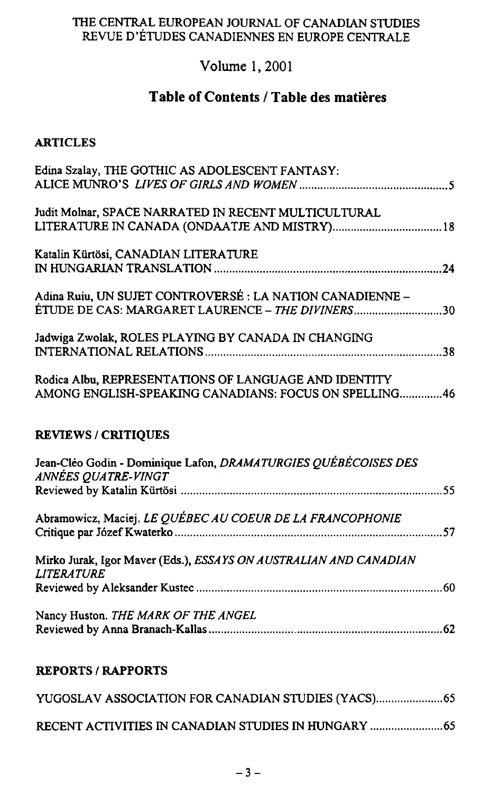### THE CENTRAL EUROPEAN JOURNAL OF CANADIAN STUDIES REVUE D'ÉTUDES CANADIENNES EN EUROPE CENTRALE

# **Volume 1,2001**

# **Table of Contents / Table des matières**

#### **ARTICLES**

| Edina Szalay, THE GOTHIC AS ADOLESCENT FANTASY:                                        |
|----------------------------------------------------------------------------------------|
|                                                                                        |
| Judit Molnar, SPACE NARRATED IN RECENT MULTICULTURAL                                   |
| LITERATURE IN CANADA (ONDAATJE AND MISTRY) 18                                          |
| Katalin Kürtösi, CANADIAN LITERATURE                                                   |
|                                                                                        |
| Adina Ruiu, UN SUJET CONTROVERSÉ : LA NATION CANADIENNE -                              |
| ÉTUDE DE CAS: MARGARET LAURENCE – THE DIVINERS30                                       |
| Jadwiga Zwolak, ROLES PLAYING BY CANADA IN CHANGING                                    |
|                                                                                        |
| Rodica Albu, REPRESENTATIONS OF LANGUAGE AND IDENTITY                                  |
| AMONG ENGLISH-SPEAKING CANADIANS: FOCUS ON SPELLING46                                  |
|                                                                                        |
| <b>REVIEWS / CRITIQUES</b>                                                             |
|                                                                                        |
| Jean-Cléo Godin - Dominique Lafon, DRAMATURGIES QUÉBÉCOISES DES                        |
| ANNÉES QUATRE-VINGT                                                                    |
|                                                                                        |
| Abramowicz, Maciej. LE QUÉBEC AU COEUR DE LA FRANCOPHONIE                              |
|                                                                                        |
| Mirko Jurak, Igor Maver (Eds.), ESSAYS ON AUSTRALIAN AND CANADIAN<br><b>LITERATURE</b> |
|                                                                                        |
| Nancy Huston. THE MARK OF THE ANGEL                                                    |
|                                                                                        |

#### **REPORTS / RAPPORTS**